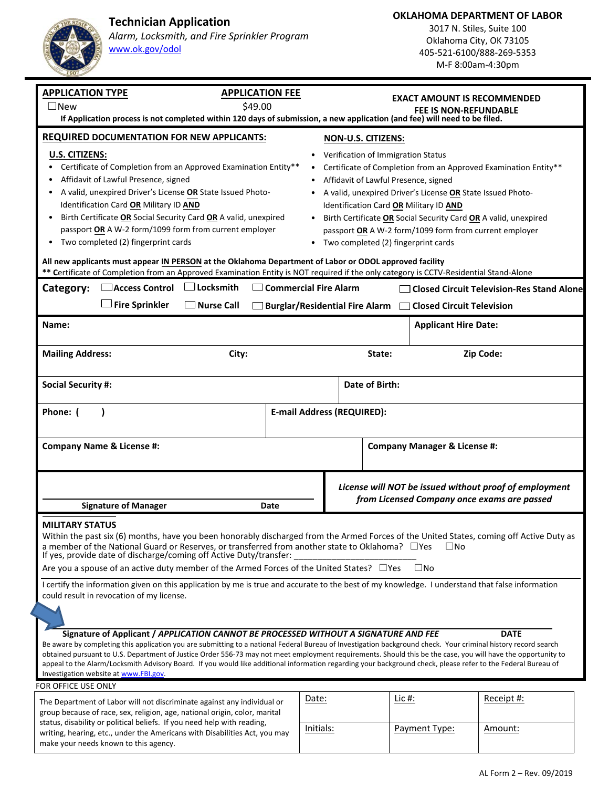**Technician Application** 



make your needs known to this agency.

*Alarm, Locksmith, and Fire Sprinkler Program* www.ok.gov/odol

**OKLAHOMA DEPARTMENT OF LABOR** 

3017 N. Stiles, Suite 100 Oklahoma City, OK 73105 405‐521‐6100/888‐269‐5353 M‐F 8:00am‐4:30pm

| <b>APPLICATION TYPE</b><br><b>APPLICATION FEE</b>                                                                                                                                                                                                              |       |                                             | <b>EXACT AMOUNT IS RECOMMENDED</b>                              |                                                                 |            |  |
|----------------------------------------------------------------------------------------------------------------------------------------------------------------------------------------------------------------------------------------------------------------|-------|---------------------------------------------|-----------------------------------------------------------------|-----------------------------------------------------------------|------------|--|
| \$49.00<br>$\square$ New                                                                                                                                                                                                                                       |       |                                             | <b>FEE IS NON-REFUNDABLE</b>                                    |                                                                 |            |  |
| If Application process is not completed within 120 days of submission, a new application (and fee) will need to be filed.                                                                                                                                      |       |                                             |                                                                 |                                                                 |            |  |
| <b>REQUIRED DOCUMENTATION FOR NEW APPLICANTS:</b>                                                                                                                                                                                                              |       | <b>NON-U.S. CITIZENS:</b>                   |                                                                 |                                                                 |            |  |
| <b>U.S. CITIZENS:</b>                                                                                                                                                                                                                                          |       |                                             | Verification of Immigration Status                              |                                                                 |            |  |
| Certificate of Completion from an Approved Examination Entity**                                                                                                                                                                                                |       |                                             | Certificate of Completion from an Approved Examination Entity** |                                                                 |            |  |
| Affidavit of Lawful Presence, signed                                                                                                                                                                                                                           |       |                                             | Affidavit of Lawful Presence, signed                            |                                                                 |            |  |
| A valid, unexpired Driver's License OR State Issued Photo-                                                                                                                                                                                                     |       |                                             | A valid, unexpired Driver's License OR State Issued Photo-      |                                                                 |            |  |
| Identification Card OR Military ID AND                                                                                                                                                                                                                         |       |                                             |                                                                 | Identification Card OR Military ID AND                          |            |  |
| Birth Certificate OR Social Security Card OR A valid, unexpired                                                                                                                                                                                                |       |                                             |                                                                 | Birth Certificate OR Social Security Card OR A valid, unexpired |            |  |
| passport OR A W-2 form/1099 form from current employer                                                                                                                                                                                                         |       |                                             |                                                                 | passport OR A W-2 form/1099 form from current employer          |            |  |
| Two completed (2) fingerprint cards<br>• Two completed (2) fingerprint cards                                                                                                                                                                                   |       |                                             |                                                                 |                                                                 |            |  |
| All new applicants must appear IN PERSON at the Oklahoma Department of Labor or ODOL approved facility<br>** Certificate of Completion from an Approved Examination Entity is NOT required if the only category is CCTV-Residential Stand-Alone                |       |                                             |                                                                 |                                                                 |            |  |
| $\Box$ Locksmith<br>Access Control<br>$\Box$ Commercial Fire Alarm<br>Category:<br><b>Closed Circuit Television-Res Stand Alone</b>                                                                                                                            |       |                                             |                                                                 |                                                                 |            |  |
|                                                                                                                                                                                                                                                                |       |                                             |                                                                 |                                                                 |            |  |
| <b>Fire Sprinkler</b><br>$\Box$ Nurse Call<br>□ Burglar/Residential Fire Alarm □ Closed Circuit Television                                                                                                                                                     |       |                                             |                                                                 |                                                                 |            |  |
| Name:                                                                                                                                                                                                                                                          |       |                                             |                                                                 | <b>Applicant Hire Date:</b>                                     |            |  |
| <b>Mailing Address:</b><br>City:                                                                                                                                                                                                                               |       |                                             | State:                                                          |                                                                 | Zip Code:  |  |
|                                                                                                                                                                                                                                                                |       |                                             |                                                                 |                                                                 |            |  |
| Date of Birth:                                                                                                                                                                                                                                                 |       |                                             |                                                                 |                                                                 |            |  |
| <b>Social Security #:</b>                                                                                                                                                                                                                                      |       |                                             |                                                                 |                                                                 |            |  |
|                                                                                                                                                                                                                                                                |       |                                             |                                                                 |                                                                 |            |  |
| Phone: (<br><b>E-mail Address (REQUIRED):</b>                                                                                                                                                                                                                  |       |                                             |                                                                 |                                                                 |            |  |
|                                                                                                                                                                                                                                                                |       |                                             |                                                                 |                                                                 |            |  |
| <b>Company Name &amp; License #:</b>                                                                                                                                                                                                                           |       |                                             | <b>Company Manager &amp; License #:</b>                         |                                                                 |            |  |
|                                                                                                                                                                                                                                                                |       |                                             |                                                                 |                                                                 |            |  |
|                                                                                                                                                                                                                                                                |       |                                             |                                                                 |                                                                 |            |  |
|                                                                                                                                                                                                                                                                |       |                                             | License will NOT be issued without proof of employment          |                                                                 |            |  |
| <b>Signature of Manager</b><br>Date                                                                                                                                                                                                                            |       | from Licensed Company once exams are passed |                                                                 |                                                                 |            |  |
|                                                                                                                                                                                                                                                                |       |                                             |                                                                 |                                                                 |            |  |
| <b>MILITARY STATUS</b>                                                                                                                                                                                                                                         |       |                                             |                                                                 |                                                                 |            |  |
| Within the past six (6) months, have you been honorably discharged from the Armed Forces of the United States, coming off Active Duty as<br>a member of the National Guard or Reserves, or transferred from another state to Oklahoma? $\Box$ Yes<br>$\Box$ No |       |                                             |                                                                 |                                                                 |            |  |
| If yes, provide date of discharge/coming off Active Duty/transfer:                                                                                                                                                                                             |       |                                             |                                                                 |                                                                 |            |  |
| Are you a spouse of an active duty member of the Armed Forces of the United States? □ Yes<br>$\square$ No                                                                                                                                                      |       |                                             |                                                                 |                                                                 |            |  |
| I certify the information given on this application by me is true and accurate to the best of my knowledge. I understand that false information                                                                                                                |       |                                             |                                                                 |                                                                 |            |  |
| could result in revocation of my license.                                                                                                                                                                                                                      |       |                                             |                                                                 |                                                                 |            |  |
|                                                                                                                                                                                                                                                                |       |                                             |                                                                 |                                                                 |            |  |
| Signature of Applicant / APPLICATION CANNOT BE PROCESSED WITHOUT A SIGNATURE AND FEE<br><b>DATE</b>                                                                                                                                                            |       |                                             |                                                                 |                                                                 |            |  |
| Be aware by completing this application you are submitting to a national Federal Bureau of Investigation background check. Your criminal history record search                                                                                                 |       |                                             |                                                                 |                                                                 |            |  |
| obtained pursuant to U.S. Department of Justice Order 556-73 may not meet employment requirements. Should this be the case, you will have the opportunity to                                                                                                   |       |                                             |                                                                 |                                                                 |            |  |
| appeal to the Alarm/Locksmith Advisory Board. If you would like additional information regarding your background check, please refer to the Federal Bureau of<br>Investigation website at www.FBI.gov.                                                         |       |                                             |                                                                 |                                                                 |            |  |
| FOR OFFICE USE ONLY                                                                                                                                                                                                                                            |       |                                             |                                                                 |                                                                 |            |  |
| The Department of Labor will not discriminate against any individual or                                                                                                                                                                                        | Date: |                                             |                                                                 | Lic #:                                                          | Receipt #: |  |
| group because of race, sex, religion, age, national origin, color, marital                                                                                                                                                                                     |       |                                             |                                                                 |                                                                 |            |  |
| status, disability or political beliefs. If you need help with reading,<br>Initials:                                                                                                                                                                           |       |                                             |                                                                 |                                                                 |            |  |
| writing, hearing, etc., under the Americans with Disabilities Act, you may                                                                                                                                                                                     |       |                                             |                                                                 | Payment Type:                                                   | Amount:    |  |